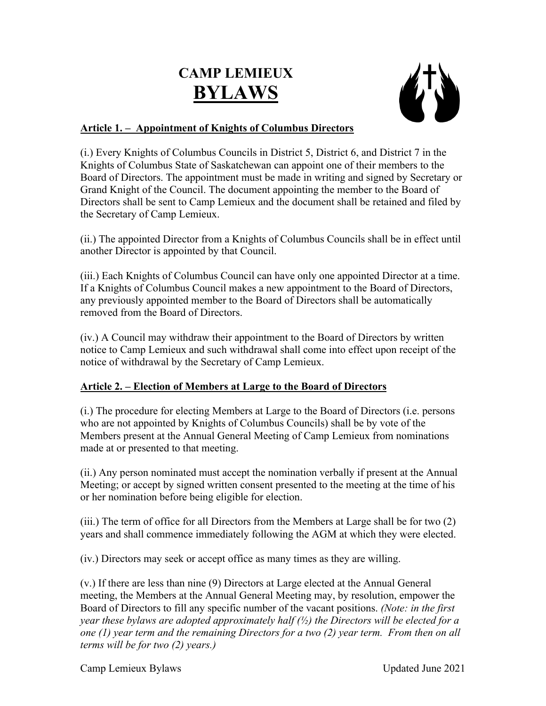# **CAMP LEMIEUX BYLAWS**



## **Article 1. – Appointment of Knights of Columbus Directors**

(i.) Every Knights of Columbus Councils in District 5, District 6, and District 7 in the Knights of Columbus State of Saskatchewan can appoint one of their members to the Board of Directors. The appointment must be made in writing and signed by Secretary or Grand Knight of the Council. The document appointing the member to the Board of Directors shall be sent to Camp Lemieux and the document shall be retained and filed by the Secretary of Camp Lemieux.

(ii.) The appointed Director from a Knights of Columbus Councils shall be in effect until another Director is appointed by that Council.

(iii.) Each Knights of Columbus Council can have only one appointed Director at a time. If a Knights of Columbus Council makes a new appointment to the Board of Directors, any previously appointed member to the Board of Directors shall be automatically removed from the Board of Directors.

(iv.) A Council may withdraw their appointment to the Board of Directors by written notice to Camp Lemieux and such withdrawal shall come into effect upon receipt of the notice of withdrawal by the Secretary of Camp Lemieux.

## **Article 2. – Election of Members at Large to the Board of Directors**

(i.) The procedure for electing Members at Large to the Board of Directors (i.e. persons who are not appointed by Knights of Columbus Councils) shall be by vote of the Members present at the Annual General Meeting of Camp Lemieux from nominations made at or presented to that meeting.

(ii.) Any person nominated must accept the nomination verbally if present at the Annual Meeting; or accept by signed written consent presented to the meeting at the time of his or her nomination before being eligible for election.

(iii.) The term of office for all Directors from the Members at Large shall be for two (2) years and shall commence immediately following the AGM at which they were elected.

(iv.) Directors may seek or accept office as many times as they are willing.

(v.) If there are less than nine (9) Directors at Large elected at the Annual General meeting, the Members at the Annual General Meeting may, by resolution, empower the Board of Directors to fill any specific number of the vacant positions. *(Note: in the first year these bylaws are adopted approximately half (½) the Directors will be elected for a one (1) year term and the remaining Directors for a two (2) year term. From then on all terms will be for two (2) years.)*

Camp Lemieux Bylaws Updated June 2021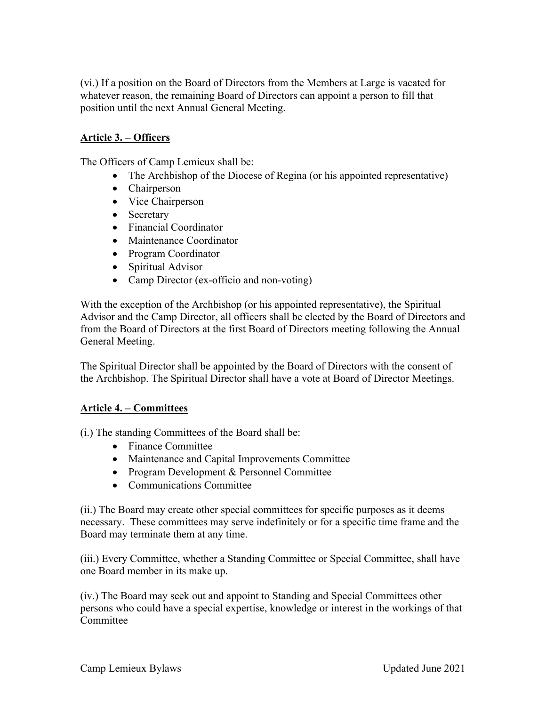(vi.) If a position on the Board of Directors from the Members at Large is vacated for whatever reason, the remaining Board of Directors can appoint a person to fill that position until the next Annual General Meeting.

#### **Article 3. – Officers**

The Officers of Camp Lemieux shall be:

- The Archbishop of the Diocese of Regina (or his appointed representative)
- Chairperson
- Vice Chairperson
- Secretary
- Financial Coordinator
- Maintenance Coordinator
- Program Coordinator
- Spiritual Advisor
- Camp Director (ex-officio and non-voting)

With the exception of the Archbishop (or his appointed representative), the Spiritual Advisor and the Camp Director, all officers shall be elected by the Board of Directors and from the Board of Directors at the first Board of Directors meeting following the Annual General Meeting.

The Spiritual Director shall be appointed by the Board of Directors with the consent of the Archbishop. The Spiritual Director shall have a vote at Board of Director Meetings.

### **Article 4. – Committees**

(i.) The standing Committees of the Board shall be:

- Finance Committee
- Maintenance and Capital Improvements Committee
- Program Development & Personnel Committee
- Communications Committee

(ii.) The Board may create other special committees for specific purposes as it deems necessary. These committees may serve indefinitely or for a specific time frame and the Board may terminate them at any time.

(iii.) Every Committee, whether a Standing Committee or Special Committee, shall have one Board member in its make up.

(iv.) The Board may seek out and appoint to Standing and Special Committees other persons who could have a special expertise, knowledge or interest in the workings of that Committee